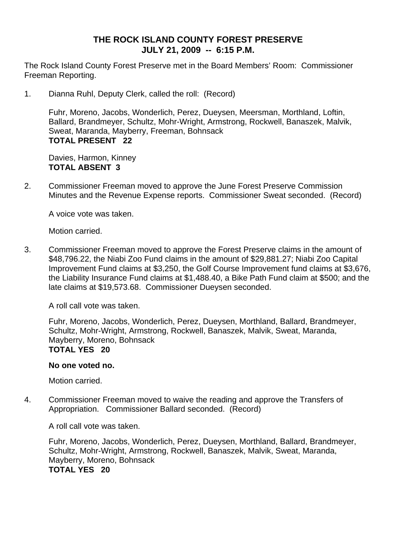# **THE ROCK ISLAND COUNTY FOREST PRESERVE JULY 21, 2009 -- 6:15 P.M.**

The Rock Island County Forest Preserve met in the Board Members' Room: Commissioner Freeman Reporting.

1. Dianna Ruhl, Deputy Clerk, called the roll: (Record)

Fuhr, Moreno, Jacobs, Wonderlich, Perez, Dueysen, Meersman, Morthland, Loftin, Ballard, Brandmeyer, Schultz, Mohr-Wright, Armstrong, Rockwell, Banaszek, Malvik, Sweat, Maranda, Mayberry, Freeman, Bohnsack **TOTAL PRESENT 22** 

Davies, Harmon, Kinney **TOTAL ABSENT 3**

2. Commissioner Freeman moved to approve the June Forest Preserve Commission Minutes and the Revenue Expense reports. Commissioner Sweat seconded. (Record)

A voice vote was taken.

Motion carried.

3. Commissioner Freeman moved to approve the Forest Preserve claims in the amount of \$48,796.22, the Niabi Zoo Fund claims in the amount of \$29,881.27; Niabi Zoo Capital Improvement Fund claims at \$3,250, the Golf Course Improvement fund claims at \$3,676, the Liability Insurance Fund claims at \$1,488.40, a Bike Path Fund claim at \$500; and the late claims at \$19,573.68. Commissioner Dueysen seconded.

A roll call vote was taken.

Fuhr, Moreno, Jacobs, Wonderlich, Perez, Dueysen, Morthland, Ballard, Brandmeyer, Schultz, Mohr-Wright, Armstrong, Rockwell, Banaszek, Malvik, Sweat, Maranda, Mayberry, Moreno, Bohnsack **TOTAL YES 20** 

# **No one voted no.**

Motion carried.

4. Commissioner Freeman moved to waive the reading and approve the Transfers of Appropriation. Commissioner Ballard seconded. (Record)

A roll call vote was taken.

Fuhr, Moreno, Jacobs, Wonderlich, Perez, Dueysen, Morthland, Ballard, Brandmeyer, Schultz, Mohr-Wright, Armstrong, Rockwell, Banaszek, Malvik, Sweat, Maranda, Mayberry, Moreno, Bohnsack **TOTAL YES 20**